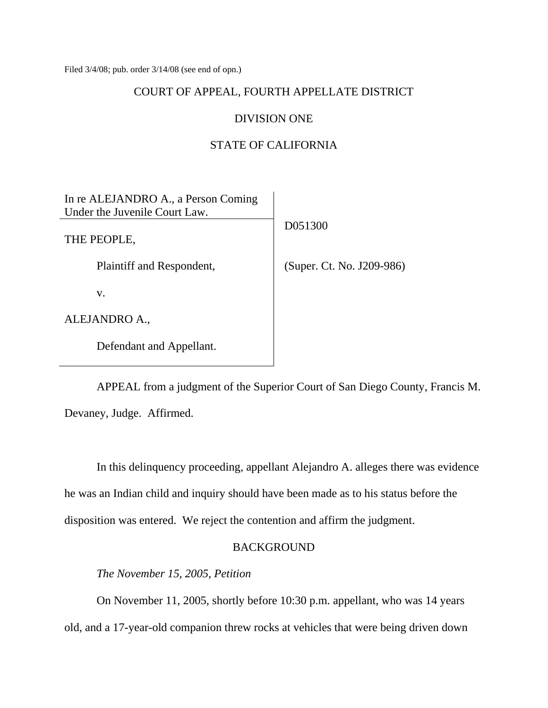Filed 3/4/08; pub. order 3/14/08 (see end of opn.)

#### COURT OF APPEAL, FOURTH APPELLATE DISTRICT

#### DIVISION ONE

### STATE OF CALIFORNIA

| In re ALEJANDRO A., a Person Coming |                           |
|-------------------------------------|---------------------------|
| Under the Juvenile Court Law.       |                           |
|                                     | D051300                   |
| THE PEOPLE,                         |                           |
|                                     |                           |
| Plaintiff and Respondent,           | (Super. Ct. No. J209-986) |
|                                     |                           |
| V.                                  |                           |
| ALEJANDRO A.,                       |                           |
| Defendant and Appellant.            |                           |

 APPEAL from a judgment of the Superior Court of San Diego County, Francis M. Devaney, Judge. Affirmed.

 In this delinquency proceeding, appellant Alejandro A. alleges there was evidence he was an Indian child and inquiry should have been made as to his status before the disposition was entered. We reject the contention and affirm the judgment.

# BACKGROUND

 *The November 15, 2005, Petition* 

On November 11, 2005, shortly before 10:30 p.m. appellant, who was 14 years old, and a 17-year-old companion threw rocks at vehicles that were being driven down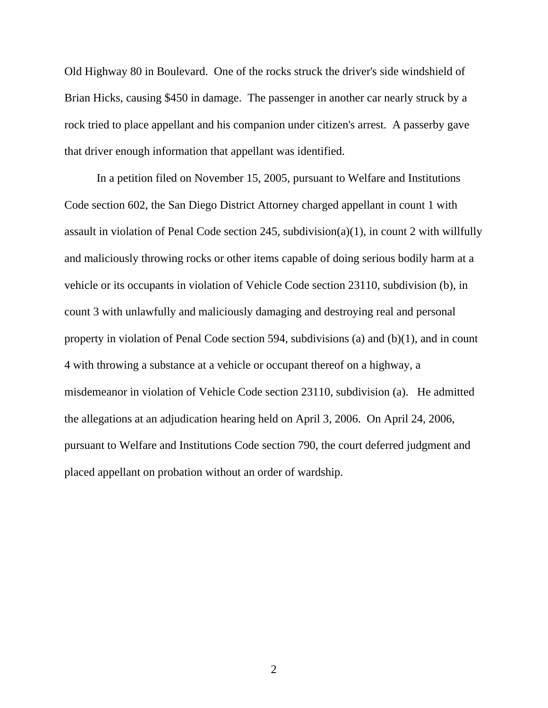Old Highway 80 in Boulevard. One of the rocks struck the driver's side windshield of Brian Hicks, causing \$450 in damage. The passenger in another car nearly struck by a rock tried to place appellant and his companion under citizen's arrest. A passerby gave that driver enough information that appellant was identified.

 In a petition filed on November 15, 2005, pursuant to Welfare and Institutions Code section 602, the San Diego District Attorney charged appellant in count 1 with assault in violation of Penal Code section 245, subdivision(a)(1), in count 2 with willfully and maliciously throwing rocks or other items capable of doing serious bodily harm at a vehicle or its occupants in violation of Vehicle Code section 23110, subdivision (b), in count 3 with unlawfully and maliciously damaging and destroying real and personal property in violation of Penal Code section 594, subdivisions (a) and (b)(1), and in count 4 with throwing a substance at a vehicle or occupant thereof on a highway, a misdemeanor in violation of Vehicle Code section 23110, subdivision (a). He admitted the allegations at an adjudication hearing held on April 3, 2006. On April 24, 2006, pursuant to Welfare and Institutions Code section 790, the court deferred judgment and placed appellant on probation without an order of wardship.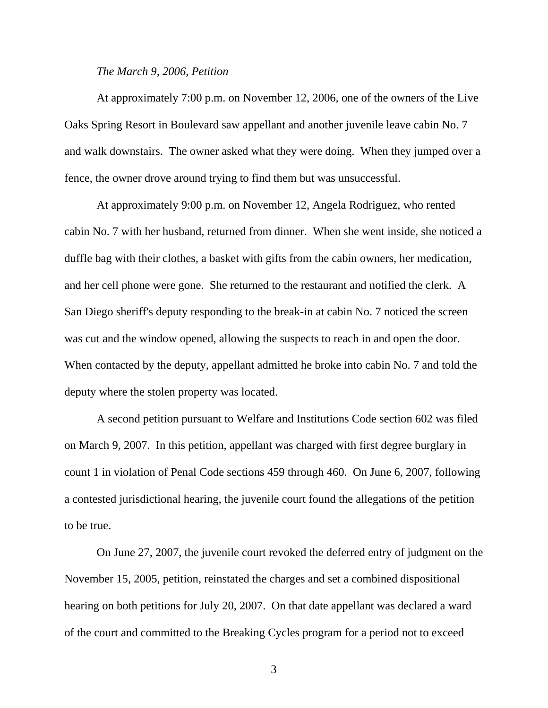#### *The March 9, 2006, Petition*

 At approximately 7:00 p.m. on November 12, 2006, one of the owners of the Live Oaks Spring Resort in Boulevard saw appellant and another juvenile leave cabin No. 7 and walk downstairs. The owner asked what they were doing. When they jumped over a fence, the owner drove around trying to find them but was unsuccessful.

 At approximately 9:00 p.m. on November 12, Angela Rodriguez, who rented cabin No. 7 with her husband, returned from dinner. When she went inside, she noticed a duffle bag with their clothes, a basket with gifts from the cabin owners, her medication, and her cell phone were gone. She returned to the restaurant and notified the clerk. A San Diego sheriff's deputy responding to the break-in at cabin No. 7 noticed the screen was cut and the window opened, allowing the suspects to reach in and open the door. When contacted by the deputy, appellant admitted he broke into cabin No. 7 and told the deputy where the stolen property was located.

 A second petition pursuant to Welfare and Institutions Code section 602 was filed on March 9, 2007. In this petition, appellant was charged with first degree burglary in count 1 in violation of Penal Code sections 459 through 460. On June 6, 2007, following a contested jurisdictional hearing, the juvenile court found the allegations of the petition to be true.

 On June 27, 2007, the juvenile court revoked the deferred entry of judgment on the November 15, 2005, petition, reinstated the charges and set a combined dispositional hearing on both petitions for July 20, 2007. On that date appellant was declared a ward of the court and committed to the Breaking Cycles program for a period not to exceed

3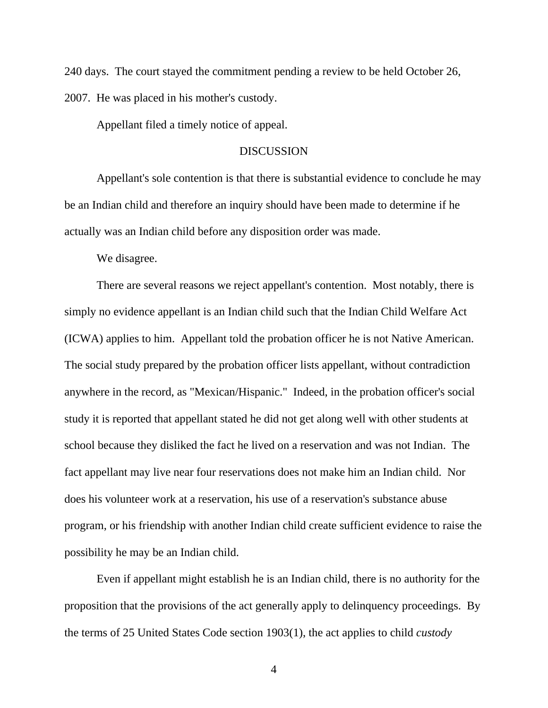240 days. The court stayed the commitment pending a review to be held October 26, 2007. He was placed in his mother's custody.

Appellant filed a timely notice of appeal.

#### DISCUSSION

 Appellant's sole contention is that there is substantial evidence to conclude he may be an Indian child and therefore an inquiry should have been made to determine if he actually was an Indian child before any disposition order was made.

We disagree.

 There are several reasons we reject appellant's contention. Most notably, there is simply no evidence appellant is an Indian child such that the Indian Child Welfare Act (ICWA) applies to him. Appellant told the probation officer he is not Native American. The social study prepared by the probation officer lists appellant, without contradiction anywhere in the record, as "Mexican/Hispanic." Indeed, in the probation officer's social study it is reported that appellant stated he did not get along well with other students at school because they disliked the fact he lived on a reservation and was not Indian. The fact appellant may live near four reservations does not make him an Indian child. Nor does his volunteer work at a reservation, his use of a reservation's substance abuse program, or his friendship with another Indian child create sufficient evidence to raise the possibility he may be an Indian child.

 Even if appellant might establish he is an Indian child, there is no authority for the proposition that the provisions of the act generally apply to delinquency proceedings. By the terms of 25 United States Code section 1903(1), the act applies to child *custody*

4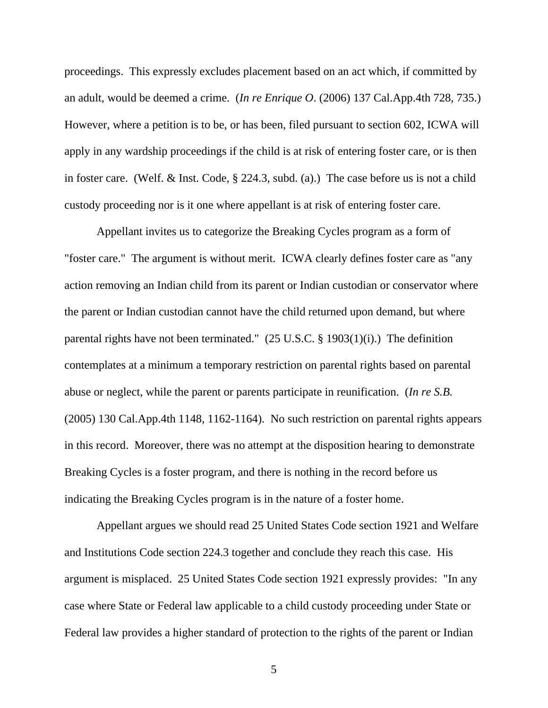proceedings. This expressly excludes placement based on an act which, if committed by an adult, would be deemed a crime. (*In re Enrique O*. (2006) 137 Cal.App.4th 728, 735.) However, where a petition is to be, or has been, filed pursuant to section 602, ICWA will apply in any wardship proceedings if the child is at risk of entering foster care, or is then in foster care. (Welf. & Inst. Code, § 224.3, subd. (a).) The case before us is not a child custody proceeding nor is it one where appellant is at risk of entering foster care.

 Appellant invites us to categorize the Breaking Cycles program as a form of "foster care." The argument is without merit. ICWA clearly defines foster care as "any action removing an Indian child from its parent or Indian custodian or conservator where the parent or Indian custodian cannot have the child returned upon demand, but where parental rights have not been terminated." (25 U.S.C. § 1903(1)(i).) The definition contemplates at a minimum a temporary restriction on parental rights based on parental abuse or neglect, while the parent or parents participate in reunification. (*In re S.B.*  (2005) 130 Cal.App.4th 1148, 1162-1164). No such restriction on parental rights appears in this record. Moreover, there was no attempt at the disposition hearing to demonstrate Breaking Cycles is a foster program, and there is nothing in the record before us indicating the Breaking Cycles program is in the nature of a foster home.

 Appellant argues we should read 25 United States Code section 1921 and Welfare and Institutions Code section 224.3 together and conclude they reach this case. His argument is misplaced. 25 United States Code section 1921 expressly provides: "In any case where State or Federal law applicable to a child custody proceeding under State or Federal law provides a higher standard of protection to the rights of the parent or Indian

5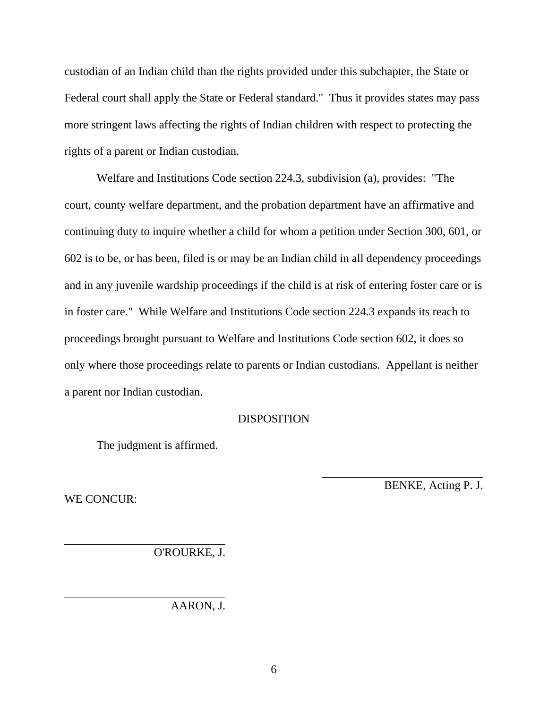custodian of an Indian child than the rights provided under this subchapter, the State or Federal court shall apply the State or Federal standard." Thus it provides states may pass more stringent laws affecting the rights of Indian children with respect to protecting the rights of a parent or Indian custodian.

 Welfare and Institutions Code section 224.3, subdivision (a), provides: "The court, county welfare department, and the probation department have an affirmative and continuing duty to inquire whether a child for whom a petition under Section 300, 601, or 602 is to be, or has been, filed is or may be an Indian child in all dependency proceedings and in any juvenile wardship proceedings if the child is at risk of entering foster care or is in foster care." While Welfare and Institutions Code section 224.3 expands its reach to proceedings brought pursuant to Welfare and Institutions Code section 602, it does so only where those proceedings relate to parents or Indian custodians. Appellant is neither a parent nor Indian custodian.

#### DISPOSITION

 $\overline{a}$ 

The judgment is affirmed.

WE CONCUR:

BENKE, Acting P. J.

O'ROURKE, J.

AARON, J.